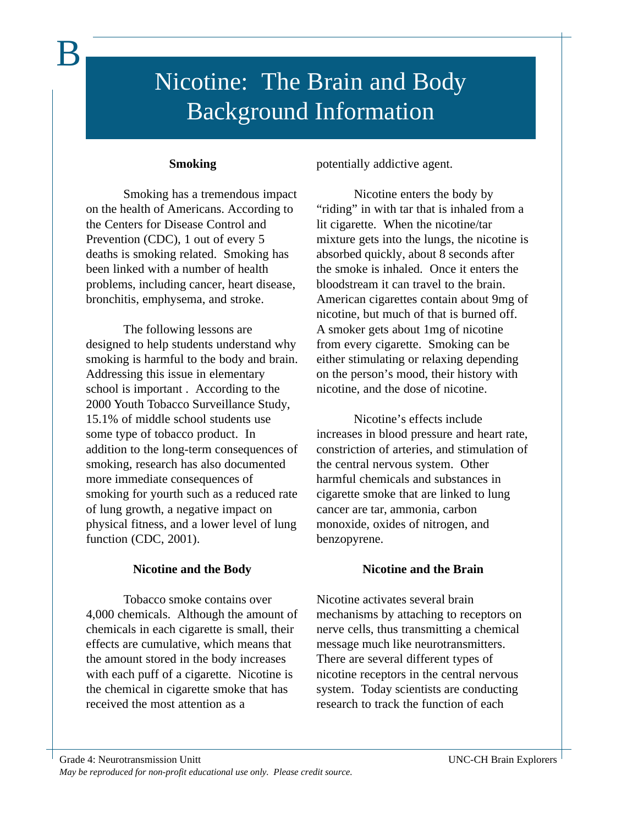## Nicotine: The Brain and Body Background Information

## **Smoking**

B

Smoking has a tremendous impact on the health of Americans. According to the Centers for Disease Control and Prevention (CDC), 1 out of every 5 deaths is smoking related. Smoking has been linked with a number of health problems, including cancer, heart disease, bronchitis, emphysema, and stroke.

The following lessons are designed to help students understand why smoking is harmful to the body and brain. Addressing this issue in elementary school is important . According to the 2000 Youth Tobacco Surveillance Study, 15.1% of middle school students use some type of tobacco product. In addition to the long-term consequences of smoking, research has also documented more immediate consequences of smoking for yourth such as a reduced rate of lung growth, a negative impact on physical fitness, and a lower level of lung function (CDC, 2001).

## **Nicotine and the Body**

Tobacco smoke contains over 4,000 chemicals. Although the amount of chemicals in each cigarette is small, their effects are cumulative, which means that the amount stored in the body increases with each puff of a cigarette. Nicotine is the chemical in cigarette smoke that has received the most attention as a

potentially addictive agent.

Nicotine enters the body by "riding" in with tar that is inhaled from a lit cigarette. When the nicotine/tar mixture gets into the lungs, the nicotine is absorbed quickly, about 8 seconds after the smoke is inhaled. Once it enters the bloodstream it can travel to the brain. American cigarettes contain about 9mg of nicotine, but much of that is burned off. A smoker gets about 1mg of nicotine from every cigarette. Smoking can be either stimulating or relaxing depending on the person's mood, their history with nicotine, and the dose of nicotine.

Nicotine's effects include increases in blood pressure and heart rate, constriction of arteries, and stimulation of the central nervous system. Other harmful chemicals and substances in cigarette smoke that are linked to lung cancer are tar, ammonia, carbon monoxide, oxides of nitrogen, and benzopyrene.

## **Nicotine and the Brain**

Nicotine activates several brain mechanisms by attaching to receptors on nerve cells, thus transmitting a chemical message much like neurotransmitters. There are several different types of nicotine receptors in the central nervous system. Today scientists are conducting research to track the function of each